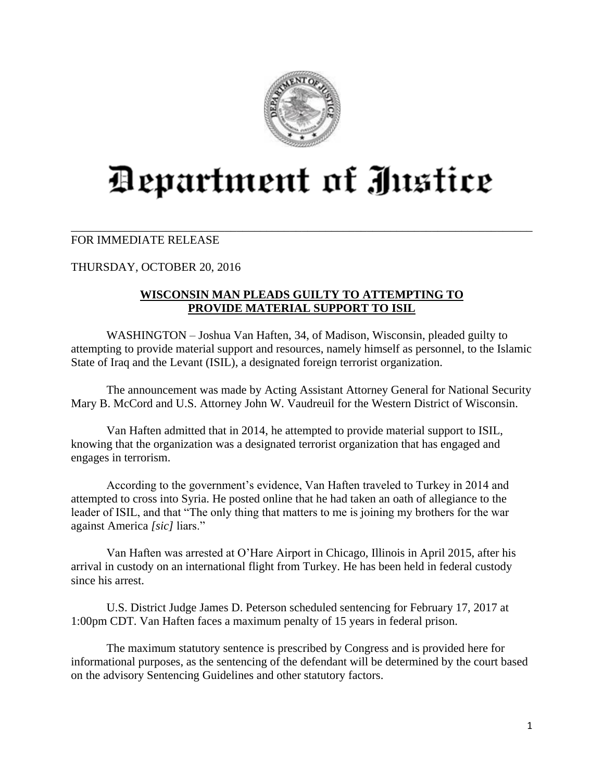

## Department of Justice

\_\_\_\_\_\_\_\_\_\_\_\_\_\_\_\_\_\_\_\_\_\_\_\_\_\_\_\_\_\_\_\_\_\_\_\_\_\_\_\_\_\_\_\_\_\_\_\_\_\_\_\_\_\_\_\_\_\_\_\_\_\_\_\_\_\_\_\_\_\_\_\_\_\_\_\_\_\_

## FOR IMMEDIATE RELEASE

THURSDAY, OCTOBER 20, 2016

## **WISCONSIN MAN PLEADS GUILTY TO ATTEMPTING TO PROVIDE MATERIAL SUPPORT TO ISIL**

WASHINGTON – Joshua Van Haften, 34, of Madison, Wisconsin, pleaded guilty to attempting to provide material support and resources, namely himself as personnel, to the Islamic State of Iraq and the Levant (ISIL), a designated foreign terrorist organization.

The announcement was made by Acting Assistant Attorney General for National Security Mary B. McCord and U.S. Attorney John W. Vaudreuil for the Western District of Wisconsin.

Van Haften admitted that in 2014, he attempted to provide material support to ISIL, knowing that the organization was a designated terrorist organization that has engaged and engages in terrorism.

According to the government's evidence, Van Haften traveled to Turkey in 2014 and attempted to cross into Syria. He posted online that he had taken an oath of allegiance to the leader of ISIL, and that "The only thing that matters to me is joining my brothers for the war against America *[sic]* liars."

Van Haften was arrested at O'Hare Airport in Chicago, Illinois in April 2015, after his arrival in custody on an international flight from Turkey. He has been held in federal custody since his arrest.

U.S. District Judge James D. Peterson scheduled sentencing for February 17, 2017 at 1:00pm CDT. Van Haften faces a maximum penalty of 15 years in federal prison.

The maximum statutory sentence is prescribed by Congress and is provided here for informational purposes, as the sentencing of the defendant will be determined by the court based on the advisory Sentencing Guidelines and other statutory factors.